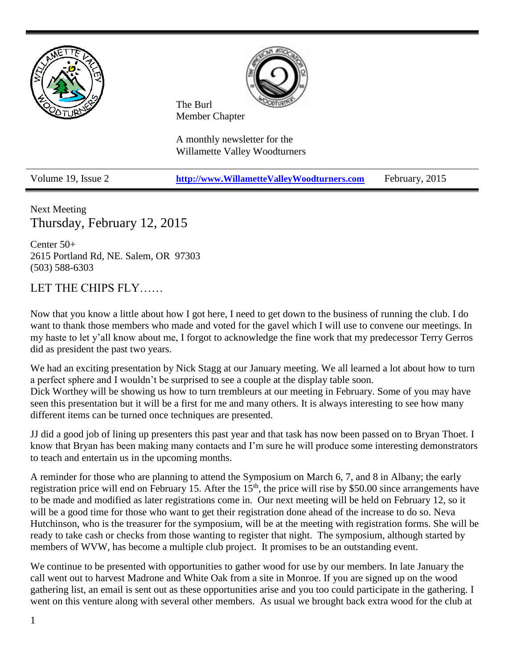



The Burl Member Chapter

A monthly newsletter for the Willamette Valley Woodturners

Volume 19, Issue 2 **[http://www.WillametteValleyWoodturners.com](http://www.willamettevalleywoodturners.com/)** February, 2015

Next Meeting Thursday, February 12, 2015

Center 50+ 2615 Portland Rd, NE. Salem, OR 97303 (503) 588-6303

LET THE CHIPS FLY……

Now that you know a little about how I got here, I need to get down to the business of running the club. I do want to thank those members who made and voted for the gavel which I will use to convene our meetings. In my haste to let y'all know about me, I forgot to acknowledge the fine work that my predecessor Terry Gerros did as president the past two years.

We had an exciting presentation by Nick Stagg at our January meeting. We all learned a lot about how to turn a perfect sphere and I wouldn't be surprised to see a couple at the display table soon. Dick Worthey will be showing us how to turn trembleurs at our meeting in February. Some of you may have seen this presentation but it will be a first for me and many others. It is always interesting to see how many different items can be turned once techniques are presented.

JJ did a good job of lining up presenters this past year and that task has now been passed on to Bryan Thoet. I know that Bryan has been making many contacts and I'm sure he will produce some interesting demonstrators to teach and entertain us in the upcoming months.

A reminder for those who are planning to attend the Symposium on March 6, 7, and 8 in Albany; the early registration price will end on February 15. After the 15<sup>th</sup>, the price will rise by \$50.00 since arrangements have to be made and modified as later registrations come in. Our next meeting will be held on February 12, so it will be a good time for those who want to get their registration done ahead of the increase to do so. Neva Hutchinson, who is the treasurer for the symposium, will be at the meeting with registration forms. She will be ready to take cash or checks from those wanting to register that night. The symposium, although started by members of WVW, has become a multiple club project. It promises to be an outstanding event.

We continue to be presented with opportunities to gather wood for use by our members. In late January the call went out to harvest Madrone and White Oak from a site in Monroe. If you are signed up on the wood gathering list, an email is sent out as these opportunities arise and you too could participate in the gathering. I went on this venture along with several other members. As usual we brought back extra wood for the club at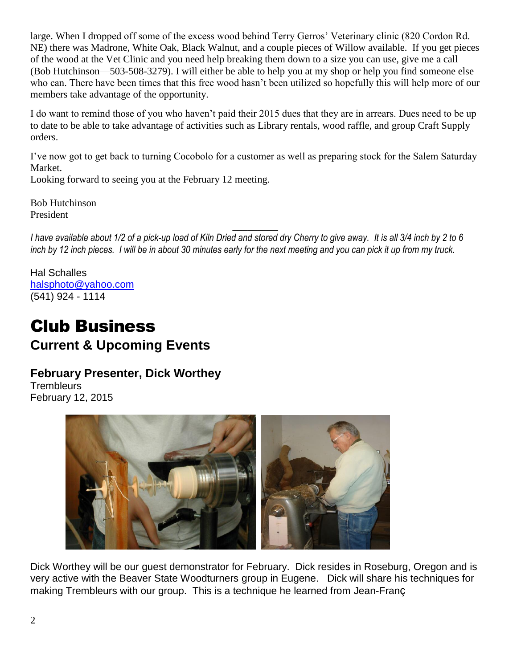large. When I dropped off some of the excess wood behind Terry Gerros' Veterinary clinic (820 Cordon Rd. NE) there was Madrone, White Oak, Black Walnut, and a couple pieces of Willow available. If you get pieces of the wood at the Vet Clinic and you need help breaking them down to a size you can use, give me a call (Bob Hutchinson—503-508-3279). I will either be able to help you at my shop or help you find someone else who can. There have been times that this free wood hasn't been utilized so hopefully this will help more of our members take advantage of the opportunity.

I do want to remind those of you who haven't paid their 2015 dues that they are in arrears. Dues need to be up to date to be able to take advantage of activities such as Library rentals, wood raffle, and group Craft Supply orders.

I've now got to get back to turning Cocobolo for a customer as well as preparing stock for the Salem Saturday Market.

Looking forward to seeing you at the February 12 meeting.

Bob Hutchinson President

*I have available about 1/2 of a pick-up load of Kiln Dried and stored dry Cherry to give away. It is all 3/4 inch by 2 to 6 inch by 12 inch pieces. I will be in about 30 minutes early for the next meeting and you can pick it up from my truck.*

\_\_\_\_\_\_\_\_\_

Hal Schalles [halsphoto@yahoo.com](javascript:window.top.ZmObjectManager.__doClickObject(document.getElementById(%22OBJ_PREFIX_DWT1842_com_zimbra_email%22));) (541) 924 - 1114

## Club Business **Current & Upcoming Events**

## **February Presenter, Dick Worthey**

**Trembleurs** February 12, 2015



Dick Worthey will be our guest demonstrator for February. Dick resides in Roseburg, Oregon and is very active with the Beaver State Woodturners group in Eugene. Dick will share his techniques for making Trembleurs with our group. This is a technique he learned from Jean-Franç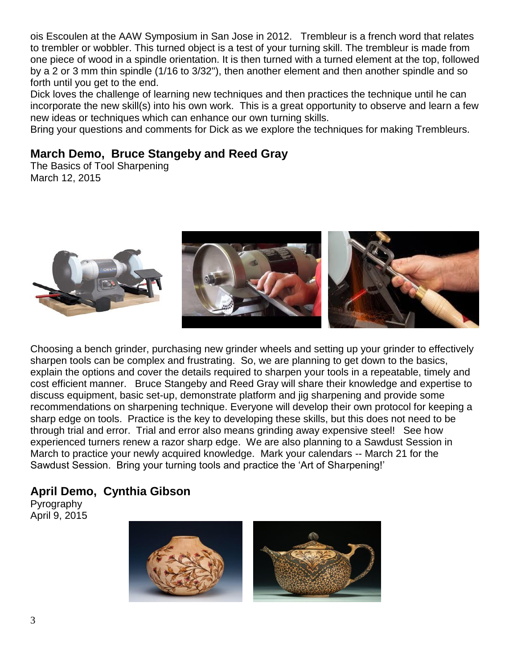ois Escoulen at the AAW Symposium in San Jose in 2012. Trembleur is a french word that relates to trembler or wobbler. This turned object is a test of your turning skill. The trembleur is made from one piece of wood in a spindle orientation. It is then turned with a turned element at the top, followed by a 2 or 3 mm thin spindle (1/16 to 3/32"), then another element and then another spindle and so forth until you get to the end.

Dick loves the challenge of learning new techniques and then practices the technique until he can incorporate the new skill(s) into his own work. This is a great opportunity to observe and learn a few new ideas or techniques which can enhance our own turning skills.

Bring your questions and comments for Dick as we explore the techniques for making Trembleurs.

### **March Demo, Bruce Stangeby and Reed Gray**

The Basics of Tool Sharpening March 12, 2015



Choosing a bench grinder, purchasing new grinder wheels and setting up your grinder to effectively sharpen tools can be complex and frustrating. So, we are planning to get down to the basics, explain the options and cover the details required to sharpen your tools in a repeatable, timely and cost efficient manner. Bruce Stangeby and Reed Gray will share their knowledge and expertise to discuss equipment, basic set-up, demonstrate platform and jig sharpening and provide some recommendations on sharpening technique. Everyone will develop their own protocol for keeping a sharp edge on tools. Practice is the key to developing these skills, but this does not need to be through trial and error. Trial and error also means grinding away expensive steel! See how experienced turners renew a razor sharp edge. We are also planning to a Sawdust Session in March to practice your newly acquired knowledge. Mark your calendars -- March 21 for the Sawdust Session. Bring your turning tools and practice the 'Art of Sharpening!'

## **April Demo, Cynthia Gibson**

Pyrography April 9, 2015

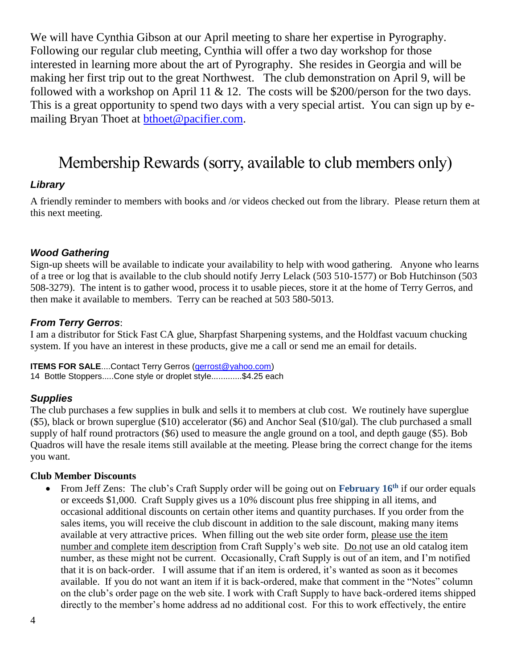We will have Cynthia Gibson at our April meeting to share her expertise in Pyrography. Following our regular club meeting, Cynthia will offer a two day workshop for those interested in learning more about the art of Pyrography. She resides in Georgia and will be making her first trip out to the great Northwest. The club demonstration on April 9, will be followed with a workshop on April 11  $\&$  12. The costs will be \$200/person for the two days. This is a great opportunity to spend two days with a very special artist. You can sign up by emailing Bryan Thoet at [bthoet@pacifier.com.](mailto:bthoet@pacifier.com)

# Membership Rewards (sorry, available to club members only)

#### *Library*

A friendly reminder to members with books and /or videos checked out from the library. Please return them at this next meeting.

#### *Wood Gathering*

Sign-up sheets will be available to indicate your availability to help with wood gathering. Anyone who learns of a tree or log that is available to the club should notify Jerry Lelack (503 510-1577) or Bob Hutchinson (503 508-3279). The intent is to gather wood, process it to usable pieces, store it at the home of Terry Gerros, and then make it available to members. Terry can be reached at 503 580-5013.

#### *From Terry Gerros*:

I am a distributor for Stick Fast CA glue, Sharpfast Sharpening systems, and the Holdfast vacuum chucking system. If you have an interest in these products, give me a call or send me an email for details.

**ITEMS FOR SALE....Contact Terry Gerros [\(gerrost@yahoo.com\)](mailto:gerrost@yahoo.com)** 14 Bottle Stoppers.....Cone style or droplet style.............\$4.25 each

#### *Supplies*

The club purchases a few supplies in bulk and sells it to members at club cost. We routinely have superglue (\$5), black or brown superglue (\$10) accelerator (\$6) and Anchor Seal (\$10/gal). The club purchased a small supply of half round protractors (\$6) used to measure the angle ground on a tool, and depth gauge (\$5). Bob Quadros will have the resale items still available at the meeting. Please bring the correct change for the items you want.

#### **Club Member Discounts**

 From Jeff Zens: The club's Craft Supply order will be going out on **February 16th** if our order equals or exceeds \$1,000. Craft Supply gives us a 10% discount plus free shipping in all items, and occasional additional discounts on certain other items and quantity purchases. If you order from the sales items, you will receive the club discount in addition to the sale discount, making many items available at very attractive prices. When filling out the web site order form, please use the item number and complete item description from Craft Supply's web site. Do not use an old catalog item number, as these might not be current. Occasionally, Craft Supply is out of an item, and I'm notified that it is on back-order. I will assume that if an item is ordered, it's wanted as soon as it becomes available. If you do not want an item if it is back-ordered, make that comment in the "Notes" column on the club's order page on the web site. I work with Craft Supply to have back-ordered items shipped directly to the member's home address ad no additional cost. For this to work effectively, the entire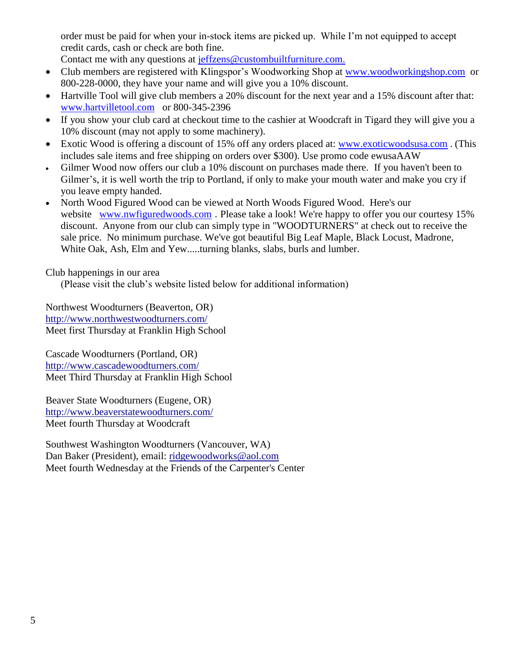order must be paid for when your in-stock items are picked up. While I'm not equipped to accept credit cards, cash or check are both fine.

Contact me with any questions at [jeffzens@custombuiltfurniture.com.](mailto:jeffzens@custombuiltfurniture.com.)

- Club members are registered with Klingspor's Woodworking Shop at [www.woodworkingshop.com](http://www.woodworkingshop.com/) or 800-228-0000, they have your name and will give you a 10% discount.
- Hartville Tool will give club members a 20% discount for the next year and a 15% discount after that: [www.hartvilletool.com](http://www.hartvilletool.com/) or 800-345-2396
- If you show your club card at checkout time to the cashier at Woodcraft in Tigard they will give you a 10% discount (may not apply to some machinery).
- Exotic Wood is offering a discount of 15% off any orders placed at: [www.exoticwoodsusa.com](http://www.exoticwoodsusa.com/) . (This includes sale items and free shipping on orders over \$300). Use promo code ewusaAAW
- Gilmer Wood now offers our club a 10% discount on purchases made there. If you haven't been to Gilmer's, it is well worth the trip to Portland, if only to make your mouth water and make you cry if you leave empty handed.
- North Wood Figured Wood can be viewed at North Woods Figured Wood. Here's our website [www.nwfiguredwoods.com](http://www.nwfiguredwoods.com/). Please take a look! We're happy to offer you our courtesy 15% discount. Anyone from our club can simply type in "WOODTURNERS" at check out to receive the sale price. No minimum purchase. We've got beautiful Big Leaf Maple, Black Locust, Madrone, White Oak, Ash, Elm and Yew.....turning blanks, slabs, burls and lumber.

Club happenings in our area

(Please visit the club's website listed below for additional information)

Northwest Woodturners (Beaverton, OR) <http://www.northwestwoodturners.com/> Meet first Thursday at Franklin High School

Cascade Woodturners (Portland, OR) <http://www.cascadewoodturners.com/> Meet Third Thursday at Franklin High School

Beaver State Woodturners (Eugene, OR) <http://www.beaverstatewoodturners.com/> Meet fourth Thursday at Woodcraft

Southwest Washington Woodturners (Vancouver, WA) Dan Baker (President), email: [ridgewoodworks@aol.com](mailto:ridgewoodworks@aol.com) Meet fourth Wednesday at the Friends of the Carpenter's Center